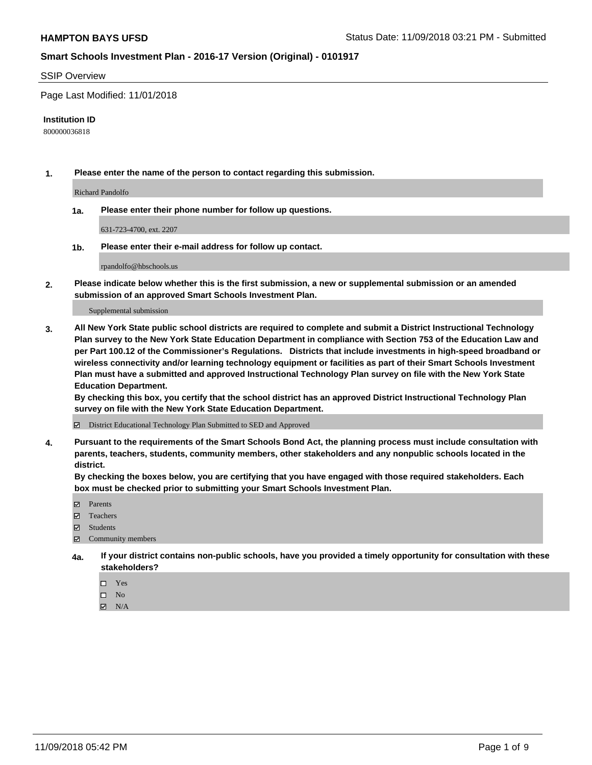## SSIP Overview

Page Last Modified: 11/01/2018

#### **Institution ID**

800000036818

**1. Please enter the name of the person to contact regarding this submission.**

Richard Pandolfo

**1a. Please enter their phone number for follow up questions.**

631-723-4700, ext. 2207

**1b. Please enter their e-mail address for follow up contact.**

rpandolfo@hbschools.us

**2. Please indicate below whether this is the first submission, a new or supplemental submission or an amended submission of an approved Smart Schools Investment Plan.**

Supplemental submission

**3. All New York State public school districts are required to complete and submit a District Instructional Technology Plan survey to the New York State Education Department in compliance with Section 753 of the Education Law and per Part 100.12 of the Commissioner's Regulations. Districts that include investments in high-speed broadband or wireless connectivity and/or learning technology equipment or facilities as part of their Smart Schools Investment Plan must have a submitted and approved Instructional Technology Plan survey on file with the New York State Education Department.** 

**By checking this box, you certify that the school district has an approved District Instructional Technology Plan survey on file with the New York State Education Department.**

District Educational Technology Plan Submitted to SED and Approved

**4. Pursuant to the requirements of the Smart Schools Bond Act, the planning process must include consultation with parents, teachers, students, community members, other stakeholders and any nonpublic schools located in the district.** 

**By checking the boxes below, you are certifying that you have engaged with those required stakeholders. Each box must be checked prior to submitting your Smart Schools Investment Plan.**

- **□** Parents
- Teachers
- Students
- $\boxtimes$  Community members
- **4a. If your district contains non-public schools, have you provided a timely opportunity for consultation with these stakeholders?**
	- $\Box$  Yes
	- $\qquad \qquad$  No
	- $\blacksquare$  N/A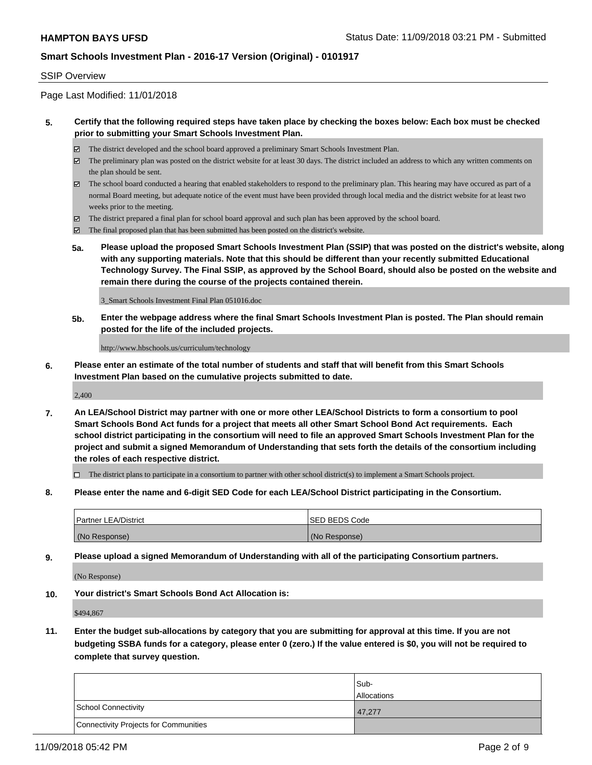## SSIP Overview

Page Last Modified: 11/01/2018

### **5. Certify that the following required steps have taken place by checking the boxes below: Each box must be checked prior to submitting your Smart Schools Investment Plan.**

- The district developed and the school board approved a preliminary Smart Schools Investment Plan.
- $\boxtimes$  The preliminary plan was posted on the district website for at least 30 days. The district included an address to which any written comments on the plan should be sent.
- $\boxtimes$  The school board conducted a hearing that enabled stakeholders to respond to the preliminary plan. This hearing may have occured as part of a normal Board meeting, but adequate notice of the event must have been provided through local media and the district website for at least two weeks prior to the meeting.
- The district prepared a final plan for school board approval and such plan has been approved by the school board.
- $\boxtimes$  The final proposed plan that has been submitted has been posted on the district's website.
- **5a. Please upload the proposed Smart Schools Investment Plan (SSIP) that was posted on the district's website, along with any supporting materials. Note that this should be different than your recently submitted Educational Technology Survey. The Final SSIP, as approved by the School Board, should also be posted on the website and remain there during the course of the projects contained therein.**

3\_Smart Schools Investment Final Plan 051016.doc

**5b. Enter the webpage address where the final Smart Schools Investment Plan is posted. The Plan should remain posted for the life of the included projects.**

http://www.hbschools.us/curriculum/technology

**6. Please enter an estimate of the total number of students and staff that will benefit from this Smart Schools Investment Plan based on the cumulative projects submitted to date.**

2,400

**7. An LEA/School District may partner with one or more other LEA/School Districts to form a consortium to pool Smart Schools Bond Act funds for a project that meets all other Smart School Bond Act requirements. Each school district participating in the consortium will need to file an approved Smart Schools Investment Plan for the project and submit a signed Memorandum of Understanding that sets forth the details of the consortium including the roles of each respective district.**

 $\Box$  The district plans to participate in a consortium to partner with other school district(s) to implement a Smart Schools project.

**8. Please enter the name and 6-digit SED Code for each LEA/School District participating in the Consortium.**

| <b>Partner LEA/District</b> | <b>ISED BEDS Code</b> |
|-----------------------------|-----------------------|
| (No Response)               | (No Response)         |

**9. Please upload a signed Memorandum of Understanding with all of the participating Consortium partners.**

(No Response)

**10. Your district's Smart Schools Bond Act Allocation is:**

\$494,867

**11. Enter the budget sub-allocations by category that you are submitting for approval at this time. If you are not budgeting SSBA funds for a category, please enter 0 (zero.) If the value entered is \$0, you will not be required to complete that survey question.**

|                                              | Sub-               |
|----------------------------------------------|--------------------|
|                                              | <b>Allocations</b> |
| <b>School Connectivity</b>                   | 47.277             |
| <b>Connectivity Projects for Communities</b> |                    |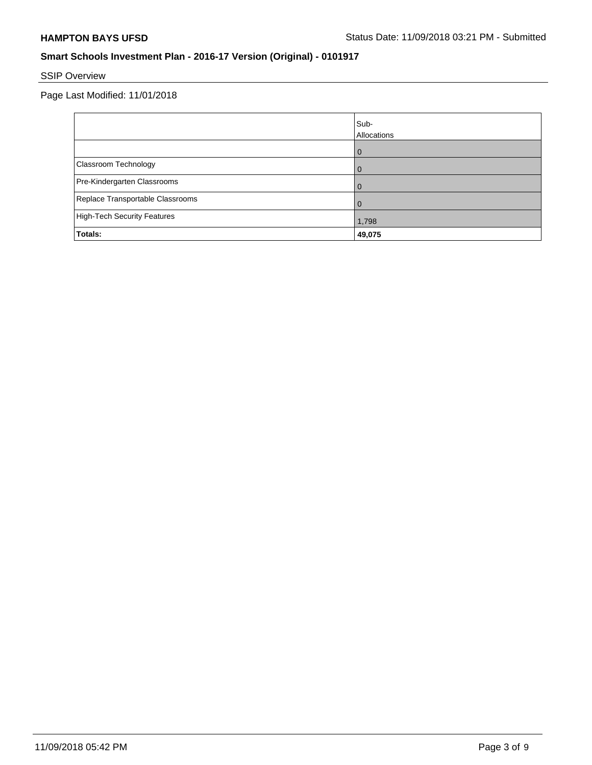# SSIP Overview

Page Last Modified: 11/01/2018

|                                    | Sub-<br>Allocations |
|------------------------------------|---------------------|
|                                    |                     |
| Classroom Technology               |                     |
| Pre-Kindergarten Classrooms        |                     |
| Replace Transportable Classrooms   |                     |
| <b>High-Tech Security Features</b> | 1,798               |
| Totals:                            | 49,075              |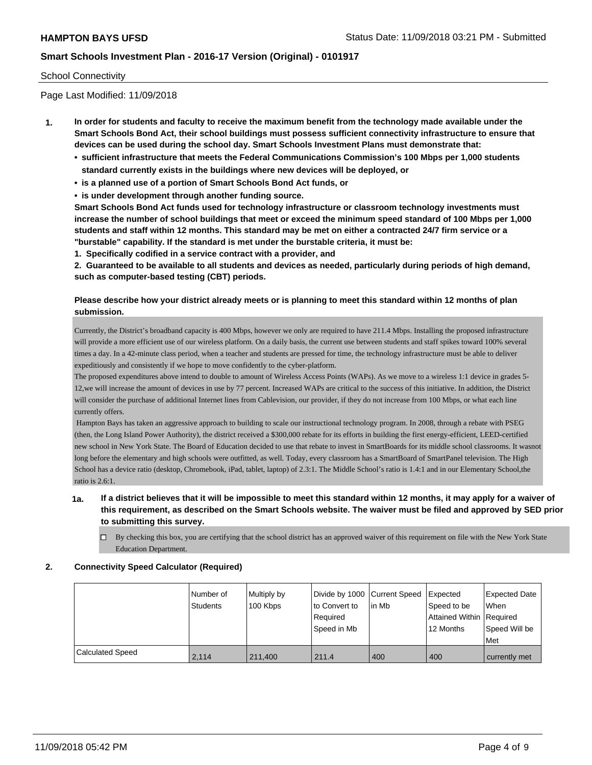#### School Connectivity

Page Last Modified: 11/09/2018

- **1. In order for students and faculty to receive the maximum benefit from the technology made available under the Smart Schools Bond Act, their school buildings must possess sufficient connectivity infrastructure to ensure that devices can be used during the school day. Smart Schools Investment Plans must demonstrate that:**
	- **• sufficient infrastructure that meets the Federal Communications Commission's 100 Mbps per 1,000 students standard currently exists in the buildings where new devices will be deployed, or**
	- **• is a planned use of a portion of Smart Schools Bond Act funds, or**
	- **• is under development through another funding source.**

**Smart Schools Bond Act funds used for technology infrastructure or classroom technology investments must increase the number of school buildings that meet or exceed the minimum speed standard of 100 Mbps per 1,000 students and staff within 12 months. This standard may be met on either a contracted 24/7 firm service or a "burstable" capability. If the standard is met under the burstable criteria, it must be:**

**1. Specifically codified in a service contract with a provider, and**

**2. Guaranteed to be available to all students and devices as needed, particularly during periods of high demand, such as computer-based testing (CBT) periods.**

## **Please describe how your district already meets or is planning to meet this standard within 12 months of plan submission.**

Currently, the District's broadband capacity is 400 Mbps, however we only are required to have 211.4 Mbps. Installing the proposed infrastructure will provide a more efficient use of our wireless platform. On a daily basis, the current use between students and staff spikes toward 100% several times a day. In a 42-minute class period, when a teacher and students are pressed for time, the technology infrastructure must be able to deliver expeditiously and consistently if we hope to move confidently to the cyber-platform.

The proposed expenditures above intend to double to amount of Wireless Access Points (WAPs). As we move to a wireless 1:1 device in grades 5- 12,we will increase the amount of devices in use by 77 percent. Increased WAPs are critical to the success of this initiative. In addition, the District will consider the purchase of additional Internet lines from Cablevision, our provider, if they do not increase from 100 Mbps, or what each line currently offers.

 Hampton Bays has taken an aggressive approach to building to scale our instructional technology program. In 2008, through a rebate with PSEG (then, the Long Island Power Authority), the district received a \$300,000 rebate for its efforts in building the first energy-efficient, LEED-certified new school in New York State. The Board of Education decided to use that rebate to invest in SmartBoards for its middle school classrooms. It wasnot long before the elementary and high schools were outfitted, as well. Today, every classroom has a SmartBoard of SmartPanel television. The High School has a device ratio (desktop, Chromebook, iPad, tablet, laptop) of 2.3:1. The Middle School's ratio is 1.4:1 and in our Elementary School,the ratio is 2.6:1.

- **1a. If a district believes that it will be impossible to meet this standard within 12 months, it may apply for a waiver of this requirement, as described on the Smart Schools website. The waiver must be filed and approved by SED prior to submitting this survey.**
	- $\Box$  By checking this box, you are certifying that the school district has an approved waiver of this requirement on file with the New York State Education Department.

#### **2. Connectivity Speed Calculator (Required)**

|                         | l Number of<br>Students | Multiply by<br>100 Kbps | Divide by 1000 Current Speed<br>to Convert to<br>Required<br>Speed in Mb | in Mb | <b>Expected</b><br>Speed to be<br>Attained Within   Required<br>12 Months | <b>Expected Date</b><br><b>When</b><br>Speed Will be<br>Met |
|-------------------------|-------------------------|-------------------------|--------------------------------------------------------------------------|-------|---------------------------------------------------------------------------|-------------------------------------------------------------|
| <b>Calculated Speed</b> | 2.114                   | 211,400                 | 211.4                                                                    | 400   | 400                                                                       | currently met                                               |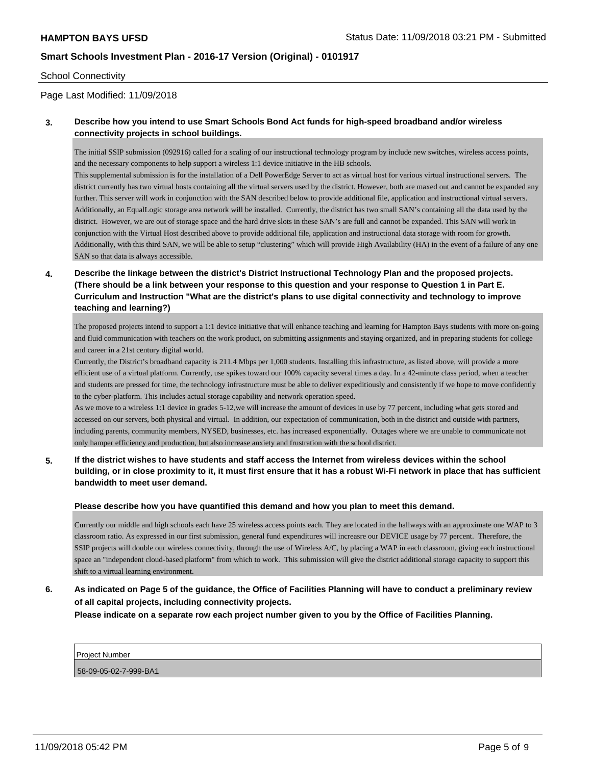#### School Connectivity

## Page Last Modified: 11/09/2018

## **3. Describe how you intend to use Smart Schools Bond Act funds for high-speed broadband and/or wireless connectivity projects in school buildings.**

The initial SSIP submission (092916) called for a scaling of our instructional technology program by include new switches, wireless access points, and the necessary components to help support a wireless 1:1 device initiative in the HB schools.

This supplemental submission is for the installation of a Dell PowerEdge Server to act as virtual host for various virtual instructional servers. The district currently has two virtual hosts containing all the virtual servers used by the district. However, both are maxed out and cannot be expanded any further. This server will work in conjunction with the SAN described below to provide additional file, application and instructional virtual servers. Additionally, an EqualLogic storage area network will be installed. Currently, the district has two small SAN's containing all the data used by the district. However, we are out of storage space and the hard drive slots in these SAN's are full and cannot be expanded. This SAN will work in conjunction with the Virtual Host described above to provide additional file, application and instructional data storage with room for growth. Additionally, with this third SAN, we will be able to setup "clustering" which will provide High Availability (HA) in the event of a failure of any one SAN so that data is always accessible.

## **4. Describe the linkage between the district's District Instructional Technology Plan and the proposed projects. (There should be a link between your response to this question and your response to Question 1 in Part E. Curriculum and Instruction "What are the district's plans to use digital connectivity and technology to improve teaching and learning?)**

The proposed projects intend to support a 1:1 device initiative that will enhance teaching and learning for Hampton Bays students with more on-going and fluid communication with teachers on the work product, on submitting assignments and staying organized, and in preparing students for college and career in a 21st century digital world.

Currently, the District's broadband capacity is 211.4 Mbps per 1,000 students. Installing this infrastructure, as listed above, will provide a more efficient use of a virtual platform. Currently, use spikes toward our 100% capacity several times a day. In a 42-minute class period, when a teacher and students are pressed for time, the technology infrastructure must be able to deliver expeditiously and consistently if we hope to move confidently to the cyber-platform. This includes actual storage capability and network operation speed.

As we move to a wireless 1:1 device in grades 5-12,we will increase the amount of devices in use by 77 percent, including what gets stored and accessed on our servers, both physical and virtual. In addition, our expectation of communication, both in the district and outside with partners, including parents, community members, NYSED, businesses, etc. has increased exponentially. Outages where we are unable to communicate not only hamper efficiency and production, but also increase anxiety and frustration with the school district.

## **5. If the district wishes to have students and staff access the Internet from wireless devices within the school building, or in close proximity to it, it must first ensure that it has a robust Wi-Fi network in place that has sufficient bandwidth to meet user demand.**

#### **Please describe how you have quantified this demand and how you plan to meet this demand.**

Currently our middle and high schools each have 25 wireless access points each. They are located in the hallways with an approximate one WAP to 3 classroom ratio. As expressed in our first submission, general fund expenditures will increasre our DEVICE usage by 77 percent. Therefore, the SSIP projects will double our wireless connectivity, through the use of Wireless A/C, by placing a WAP in each classroom, giving each instructional space an "independent cloud-based platform" from which to work. This submission will give the district additional storage capacity to support this shift to a virtual learning environment.

# **6. As indicated on Page 5 of the guidance, the Office of Facilities Planning will have to conduct a preliminary review of all capital projects, including connectivity projects.**

**Please indicate on a separate row each project number given to you by the Office of Facilities Planning.**

| <b>Project Number</b> |  |
|-----------------------|--|
| 58-09-05-02-7-999-BA1 |  |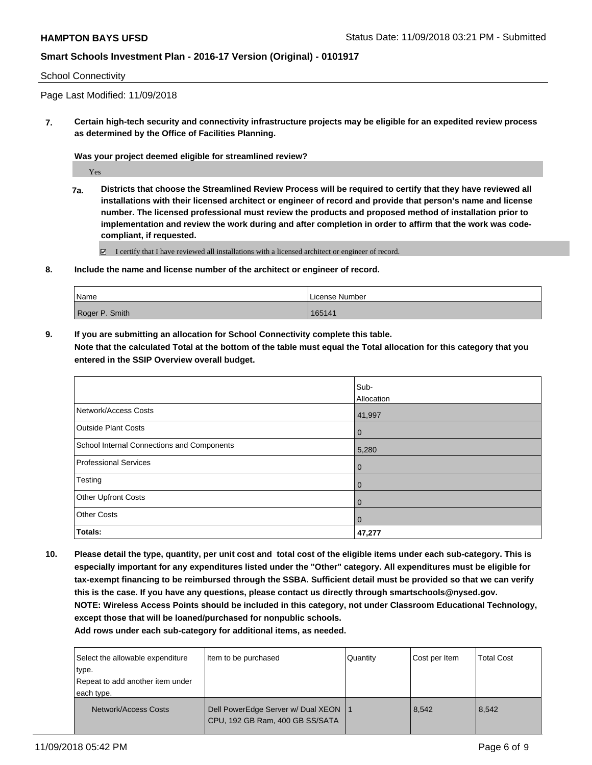#### School Connectivity

Page Last Modified: 11/09/2018

**7. Certain high-tech security and connectivity infrastructure projects may be eligible for an expedited review process as determined by the Office of Facilities Planning.**

**Was your project deemed eligible for streamlined review?**

Yes

**7a. Districts that choose the Streamlined Review Process will be required to certify that they have reviewed all installations with their licensed architect or engineer of record and provide that person's name and license number. The licensed professional must review the products and proposed method of installation prior to implementation and review the work during and after completion in order to affirm that the work was codecompliant, if requested.**

 $\Xi$  I certify that I have reviewed all installations with a licensed architect or engineer of record.

**8. Include the name and license number of the architect or engineer of record.**

| Name           | License Number |
|----------------|----------------|
| Roger P. Smith | 165141         |

**9. If you are submitting an allocation for School Connectivity complete this table.**

**Note that the calculated Total at the bottom of the table must equal the Total allocation for this category that you entered in the SSIP Overview overall budget.** 

|                                            | Sub-           |
|--------------------------------------------|----------------|
|                                            | Allocation     |
| Network/Access Costs                       | 41,997         |
| <b>Outside Plant Costs</b>                 | $\overline{0}$ |
| School Internal Connections and Components | 5,280          |
| <b>Professional Services</b>               | $\overline{0}$ |
| Testing                                    | $\overline{0}$ |
| Other Upfront Costs                        | $\overline{0}$ |
| <b>Other Costs</b>                         | $\Omega$       |
| Totals:                                    | 47,277         |

**10. Please detail the type, quantity, per unit cost and total cost of the eligible items under each sub-category. This is especially important for any expenditures listed under the "Other" category. All expenditures must be eligible for tax-exempt financing to be reimbursed through the SSBA. Sufficient detail must be provided so that we can verify this is the case. If you have any questions, please contact us directly through smartschools@nysed.gov. NOTE: Wireless Access Points should be included in this category, not under Classroom Educational Technology, except those that will be loaned/purchased for nonpublic schools.**

**Add rows under each sub-category for additional items, as needed.**

| Select the allowable expenditure<br>type.<br>Repeat to add another item under<br>each type. | Item to be purchased                                                      | Quantity | Cost per Item | <b>Total Cost</b> |
|---------------------------------------------------------------------------------------------|---------------------------------------------------------------------------|----------|---------------|-------------------|
| <b>Network/Access Costs</b>                                                                 | Dell PowerEdge Server w/ Dual XEON   1<br>CPU, 192 GB Ram, 400 GB SS/SATA |          | 8,542         | 8,542             |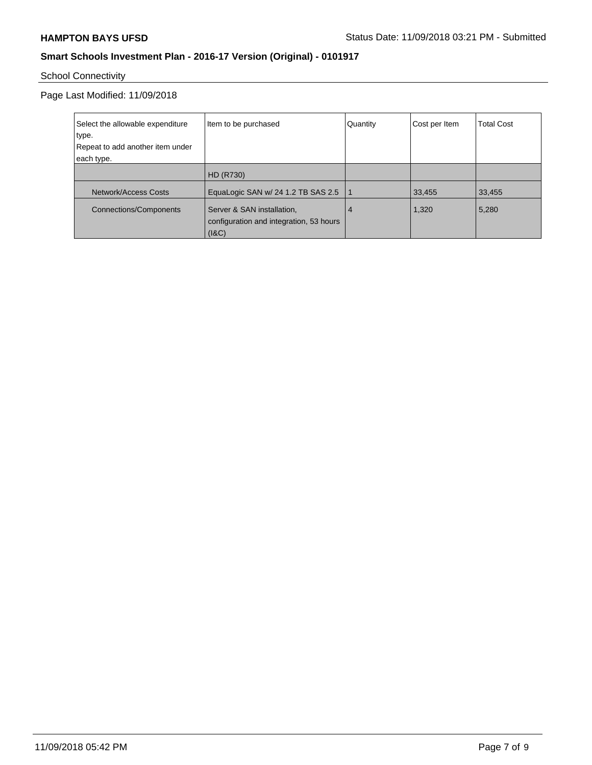# School Connectivity

## Page Last Modified: 11/09/2018

| Select the allowable expenditure<br>type. | Item to be purchased                                                           | Quantity | Cost per Item | <b>Total Cost</b> |
|-------------------------------------------|--------------------------------------------------------------------------------|----------|---------------|-------------------|
| Repeat to add another item under          |                                                                                |          |               |                   |
| each type.                                |                                                                                |          |               |                   |
|                                           | <b>HD (R730)</b>                                                               |          |               |                   |
| <b>Network/Access Costs</b>               | EquaLogic SAN w/ 24 1.2 TB SAS 2.5                                             |          | 33,455        | 33,455            |
| Connections/Components                    | Server & SAN installation,<br>configuration and integration, 53 hours<br>(18C) | 4        | 1,320         | 5,280             |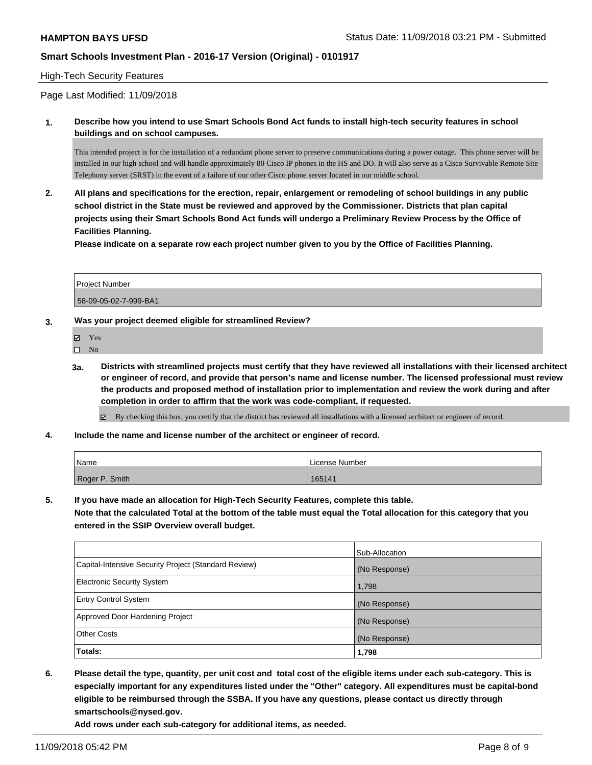#### High-Tech Security Features

Page Last Modified: 11/09/2018

**1. Describe how you intend to use Smart Schools Bond Act funds to install high-tech security features in school buildings and on school campuses.**

This intended project is for the installation of a redundant phone server to preserve communications during a power outage. This phone server will be installed in our high school and will handle approximately 80 Cisco IP phones in the HS and DO. It will also serve as a Cisco Survivable Remote Site Telephony server (SRST) in the event of a failure of our other Cisco phone server located in our middle school.

**2. All plans and specifications for the erection, repair, enlargement or remodeling of school buildings in any public school district in the State must be reviewed and approved by the Commissioner. Districts that plan capital projects using their Smart Schools Bond Act funds will undergo a Preliminary Review Process by the Office of Facilities Planning.** 

**Please indicate on a separate row each project number given to you by the Office of Facilities Planning.**

| Project Number        |  |
|-----------------------|--|
| 58-09-05-02-7-999-BA1 |  |

#### **3. Was your project deemed eligible for streamlined Review?**

Yes

 $\square$  No

**3a. Districts with streamlined projects must certify that they have reviewed all installations with their licensed architect or engineer of record, and provide that person's name and license number. The licensed professional must review the products and proposed method of installation prior to implementation and review the work during and after completion in order to affirm that the work was code-compliant, if requested.**

By checking this box, you certify that the district has reviewed all installations with a licensed architect or engineer of record.

**4. Include the name and license number of the architect or engineer of record.**

| Name           | License Number |
|----------------|----------------|
| Roger P. Smith | 165141         |

**5. If you have made an allocation for High-Tech Security Features, complete this table.**

**Note that the calculated Total at the bottom of the table must equal the Total allocation for this category that you entered in the SSIP Overview overall budget.**

|                                                      | Sub-Allocation |
|------------------------------------------------------|----------------|
| Capital-Intensive Security Project (Standard Review) | (No Response)  |
| <b>Electronic Security System</b>                    | 1,798          |
| <b>Entry Control System</b>                          | (No Response)  |
| Approved Door Hardening Project                      | (No Response)  |
| <b>Other Costs</b>                                   | (No Response)  |
| Totals:                                              | 1,798          |

**6. Please detail the type, quantity, per unit cost and total cost of the eligible items under each sub-category. This is especially important for any expenditures listed under the "Other" category. All expenditures must be capital-bond eligible to be reimbursed through the SSBA. If you have any questions, please contact us directly through smartschools@nysed.gov.**

**Add rows under each sub-category for additional items, as needed.**